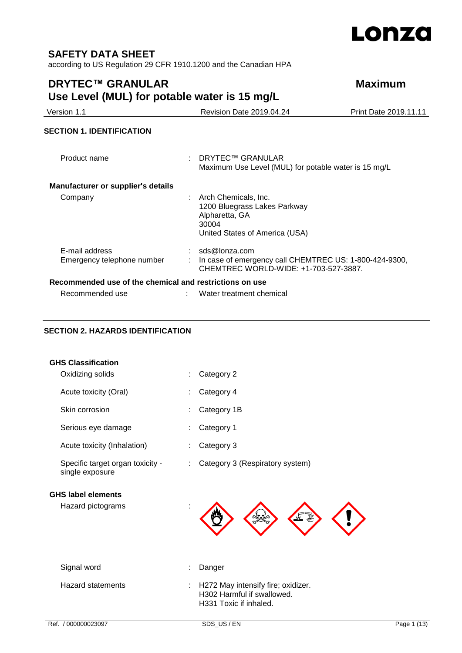

## **SAFETY DATA SHEET**

according to US Regulation 29 CFR 1910.1200 and the Canadian HPA

# **DRYTEC™ GRANULAR Maximum Use Level (MUL) for potable water is 15 mg/L**

| Version 1.1                                             | Revision Date 2019.04.24                                                                                          | Print Date 2019.11.11 |
|---------------------------------------------------------|-------------------------------------------------------------------------------------------------------------------|-----------------------|
| <b>SECTION 1. IDENTIFICATION</b>                        |                                                                                                                   |                       |
| Product name                                            | DRYTEC™ GRANULAR<br>Maximum Use Level (MUL) for potable water is 15 mg/L                                          |                       |
| <b>Manufacturer or supplier's details</b>               |                                                                                                                   |                       |
| Company                                                 | Arch Chemicals, Inc.<br>1200 Bluegrass Lakes Parkway<br>Alpharetta, GA<br>30004<br>United States of America (USA) |                       |
| E-mail address<br>Emergency telephone number            | sds@lonza.com<br>In case of emergency call CHEMTREC US: 1-800-424-9300,<br>CHEMTREC WORLD-WIDE: +1-703-527-3887.  |                       |
| Recommended use of the chemical and restrictions on use |                                                                                                                   |                       |
| Recommended use                                         | Water treatment chemical                                                                                          |                       |

### **SECTION 2. HAZARDS IDENTIFICATION**

| <b>GHS Classification</b>                           |                                       |  |
|-----------------------------------------------------|---------------------------------------|--|
| Oxidizing solids                                    | Category 2<br>÷                       |  |
| Acute toxicity (Oral)                               | Category 4                            |  |
| Skin corrosion                                      | Category 1B<br>t                      |  |
| Serious eye damage                                  | Category 1<br>÷                       |  |
| Acute toxicity (Inhalation)                         | Category 3                            |  |
| Specific target organ toxicity -<br>single exposure | Category 3 (Respiratory system)<br>÷. |  |
| <b>GHS label elements</b>                           |                                       |  |
| Hazard pictograms                                   |                                       |  |
| Signal word                                         | Danger                                |  |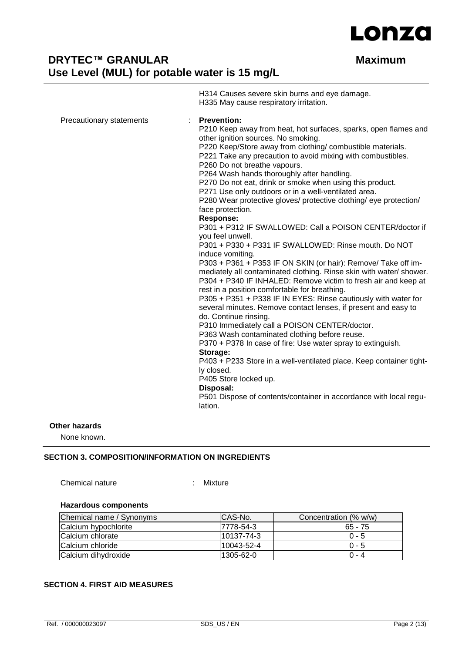

H314 Causes severe skin burns and eye damage. H335 May cause respiratory irritation. Precautionary statements : **Prevention:**  P210 Keep away from heat, hot surfaces, sparks, open flames and other ignition sources. No smoking. P220 Keep/Store away from clothing/ combustible materials. P221 Take any precaution to avoid mixing with combustibles. P260 Do not breathe vapours. P264 Wash hands thoroughly after handling. P270 Do not eat, drink or smoke when using this product. P271 Use only outdoors or in a well-ventilated area. P280 Wear protective gloves/ protective clothing/ eye protection/ face protection. **Response:**  P301 + P312 IF SWALLOWED: Call a POISON CENTER/doctor if you feel unwell. P301 + P330 + P331 IF SWALLOWED: Rinse mouth. Do NOT induce vomiting. P303 + P361 + P353 IF ON SKIN (or hair): Remove/ Take off immediately all contaminated clothing. Rinse skin with water/ shower. P304 + P340 IF INHALED: Remove victim to fresh air and keep at rest in a position comfortable for breathing. P305 + P351 + P338 IF IN EYES: Rinse cautiously with water for several minutes. Remove contact lenses, if present and easy to do. Continue rinsing. P310 Immediately call a POISON CENTER/doctor. P363 Wash contaminated clothing before reuse. P370 + P378 In case of fire: Use water spray to extinguish. **Storage:**  P403 + P233 Store in a well-ventilated place. Keep container tightly closed. P405 Store locked up. **Disposal:**  P501 Dispose of contents/container in accordance with local regulation.

#### **Other hazards**

None known.

#### **SECTION 3. COMPOSITION/INFORMATION ON INGREDIENTS**

Chemical nature : Mixture

#### **Hazardous components**

| Chemical name / Synonyms | ICAS-No.   | Concentration (% w/w) |
|--------------------------|------------|-----------------------|
| Calcium hypochlorite     | 7778-54-3  | $65 - 75$             |
| Calcium chlorate         | 10137-74-3 | $0 - 5$               |
| Calcium chloride         | 10043-52-4 | $0 - 5$               |
| Calcium dihydroxide      | 1305-62-0  | $0 - 4$               |

#### **SECTION 4. FIRST AID MEASURES**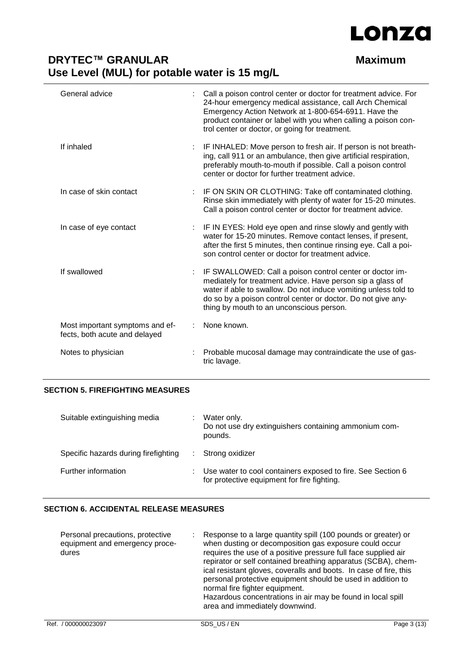

| General advice                                                   | Call a poison control center or doctor for treatment advice. For<br>24-hour emergency medical assistance, call Arch Chemical<br>Emergency Action Network at 1-800-654-6911. Have the<br>product container or label with you when calling a poison con-<br>trol center or doctor, or going for treatment. |
|------------------------------------------------------------------|----------------------------------------------------------------------------------------------------------------------------------------------------------------------------------------------------------------------------------------------------------------------------------------------------------|
| If inhaled                                                       | IF INHALED: Move person to fresh air. If person is not breath-<br>ing, call 911 or an ambulance, then give artificial respiration,<br>preferably mouth-to-mouth if possible. Call a poison control<br>center or doctor for further treatment advice.                                                     |
| In case of skin contact                                          | IF ON SKIN OR CLOTHING: Take off contaminated clothing.<br>Rinse skin immediately with plenty of water for 15-20 minutes.<br>Call a poison control center or doctor for treatment advice.                                                                                                                |
| In case of eye contact                                           | : IF IN EYES: Hold eye open and rinse slowly and gently with<br>water for 15-20 minutes. Remove contact lenses, if present,<br>after the first 5 minutes, then continue rinsing eye. Call a poi-<br>son control center or doctor for treatment advice.                                                   |
| If swallowed                                                     | IF SWALLOWED: Call a poison control center or doctor im-<br>mediately for treatment advice. Have person sip a glass of<br>water if able to swallow. Do not induce vomiting unless told to<br>do so by a poison control center or doctor. Do not give any-<br>thing by mouth to an unconscious person.    |
| Most important symptoms and ef-<br>fects, both acute and delayed | None known.                                                                                                                                                                                                                                                                                              |
| Notes to physician                                               | Probable mucosal damage may contraindicate the use of gas-<br>tric lavage.                                                                                                                                                                                                                               |

#### **SECTION 5. FIREFIGHTING MEASURES**

| Suitable extinguishing media         | Water only.<br>Do not use dry extinguishers containing ammonium com-<br>pounds.                            |
|--------------------------------------|------------------------------------------------------------------------------------------------------------|
| Specific hazards during firefighting | Strong oxidizer                                                                                            |
| Further information                  | Use water to cool containers exposed to fire. See Section 6<br>for protective equipment for fire fighting. |

## **SECTION 6. ACCIDENTAL RELEASE MEASURES**

| Personal precautions, protective<br>equipment and emergency proce-<br>dures |  | Response to a large quantity spill (100 pounds or greater) or<br>when dusting or decomposition gas exposure could occur<br>requires the use of a positive pressure full face supplied air<br>repirator or self contained breathing apparatus (SCBA), chem-<br>ical resistant gloves, coveralls and boots. In case of fire, this<br>personal protective equipment should be used in addition to<br>normal fire fighter equipment.<br>Hazardous concentrations in air may be found in local spill<br>area and immediately downwind. |
|-----------------------------------------------------------------------------|--|-----------------------------------------------------------------------------------------------------------------------------------------------------------------------------------------------------------------------------------------------------------------------------------------------------------------------------------------------------------------------------------------------------------------------------------------------------------------------------------------------------------------------------------|
|-----------------------------------------------------------------------------|--|-----------------------------------------------------------------------------------------------------------------------------------------------------------------------------------------------------------------------------------------------------------------------------------------------------------------------------------------------------------------------------------------------------------------------------------------------------------------------------------------------------------------------------------|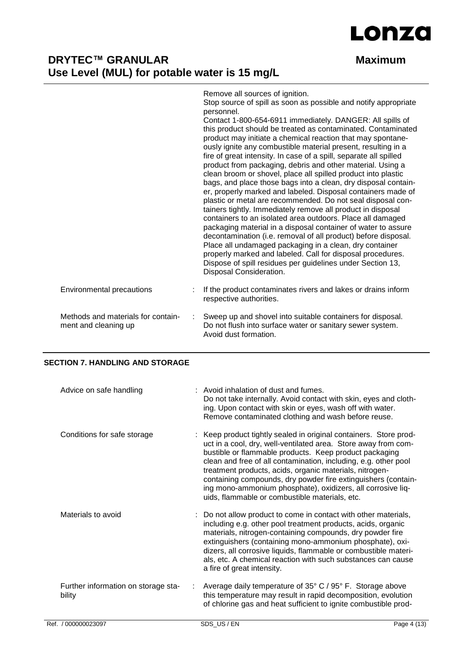

|                                                            | Remove all sources of ignition.<br>Stop source of spill as soon as possible and notify appropriate<br>personnel.<br>Contact 1-800-654-6911 immediately. DANGER: All spills of<br>this product should be treated as contaminated. Contaminated<br>product may initiate a chemical reaction that may spontane-<br>ously ignite any combustible material present, resulting in a<br>fire of great intensity. In case of a spill, separate all spilled<br>product from packaging, debris and other material. Using a<br>clean broom or shovel, place all spilled product into plastic<br>bags, and place those bags into a clean, dry disposal contain-<br>er, properly marked and labeled. Disposal containers made of<br>plastic or metal are recommended. Do not seal disposal con-<br>tainers tightly. Immediately remove all product in disposal<br>containers to an isolated area outdoors. Place all damaged<br>packaging material in a disposal container of water to assure<br>decontamination (i.e. removal of all product) before disposal.<br>Place all undamaged packaging in a clean, dry container<br>properly marked and labeled. Call for disposal procedures.<br>Dispose of spill residues per guidelines under Section 13, |
|------------------------------------------------------------|-------------------------------------------------------------------------------------------------------------------------------------------------------------------------------------------------------------------------------------------------------------------------------------------------------------------------------------------------------------------------------------------------------------------------------------------------------------------------------------------------------------------------------------------------------------------------------------------------------------------------------------------------------------------------------------------------------------------------------------------------------------------------------------------------------------------------------------------------------------------------------------------------------------------------------------------------------------------------------------------------------------------------------------------------------------------------------------------------------------------------------------------------------------------------------------------------------------------------------------------|
|                                                            | Disposal Consideration.                                                                                                                                                                                                                                                                                                                                                                                                                                                                                                                                                                                                                                                                                                                                                                                                                                                                                                                                                                                                                                                                                                                                                                                                                   |
| Environmental precautions                                  | If the product contaminates rivers and lakes or drains inform<br>respective authorities.                                                                                                                                                                                                                                                                                                                                                                                                                                                                                                                                                                                                                                                                                                                                                                                                                                                                                                                                                                                                                                                                                                                                                  |
| Methods and materials for contain-<br>ment and cleaning up | Sweep up and shovel into suitable containers for disposal.<br>Do not flush into surface water or sanitary sewer system.<br>Avoid dust formation.                                                                                                                                                                                                                                                                                                                                                                                                                                                                                                                                                                                                                                                                                                                                                                                                                                                                                                                                                                                                                                                                                          |

### **SECTION 7. HANDLING AND STORAGE**

| Advice on safe handling                       | : Avoid inhalation of dust and fumes.<br>Do not take internally. Avoid contact with skin, eyes and cloth-<br>ing. Upon contact with skin or eyes, wash off with water.<br>Remove contaminated clothing and wash before reuse.                                                                                                                                                                                                                                                                               |
|-----------------------------------------------|-------------------------------------------------------------------------------------------------------------------------------------------------------------------------------------------------------------------------------------------------------------------------------------------------------------------------------------------------------------------------------------------------------------------------------------------------------------------------------------------------------------|
| Conditions for safe storage                   | Keep product tightly sealed in original containers. Store prod-<br>uct in a cool, dry, well-ventilated area. Store away from com-<br>bustible or flammable products. Keep product packaging<br>clean and free of all contamination, including, e.g. other pool<br>treatment products, acids, organic materials, nitrogen-<br>containing compounds, dry powder fire extinguishers (contain-<br>ing mono-ammonium phosphate), oxidizers, all corrosive liq-<br>uids, flammable or combustible materials, etc. |
| Materials to avoid                            | : Do not allow product to come in contact with other materials,<br>including e.g. other pool treatment products, acids, organic<br>materials, nitrogen-containing compounds, dry powder fire<br>extinguishers (containing mono-ammonium phosphate), oxi-<br>dizers, all corrosive liquids, flammable or combustible materi-<br>als, etc. A chemical reaction with such substances can cause<br>a fire of great intensity.                                                                                   |
| Further information on storage sta-<br>bility | Average daily temperature of 35° C / 95° F. Storage above<br>this temperature may result in rapid decomposition, evolution<br>of chlorine gas and heat sufficient to ignite combustible prod-                                                                                                                                                                                                                                                                                                               |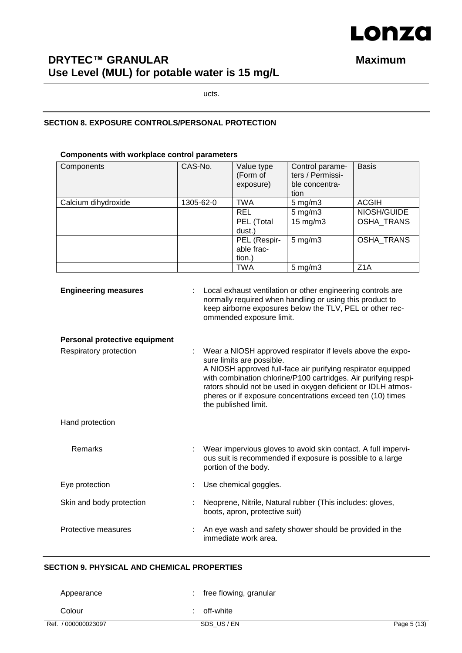# Lonza

# **DRYTEC™ GRANULAR Maximum Use Level (MUL) for potable water is 15 mg/L**

ucts.

#### **SECTION 8. EXPOSURE CONTROLS/PERSONAL PROTECTION**

#### **Components with workplace control parameters**

| Components          | CAS-No.   | Value type<br>(Form of<br>exposure)  | Control parame-<br>ters / Permissi-<br>ble concentra-<br>tion | <b>Basis</b>      |  |
|---------------------|-----------|--------------------------------------|---------------------------------------------------------------|-------------------|--|
| Calcium dihydroxide | 1305-62-0 | <b>TWA</b>                           | $5 \text{ mg/m}$ 3                                            | <b>ACGIH</b>      |  |
|                     |           | <b>REL</b>                           | $5 \text{ mg/m}$ 3                                            | NIOSH/GUIDE       |  |
|                     |           | PEL (Total<br>dust.)                 | $15 \text{ mg/m}$ 3                                           | <b>OSHA TRANS</b> |  |
|                     |           | PEL (Respir-<br>able frac-<br>tion.) | $5 \text{ mg/m}$ 3                                            | <b>OSHA TRANS</b> |  |
|                     |           | <b>TWA</b>                           | $5 \text{ mg/m}$ 3                                            | Z <sub>1</sub> A  |  |

| <b>Engineering measures</b>   | Local exhaust ventilation or other engineering controls are<br>normally required when handling or using this product to<br>keep airborne exposures below the TLV, PEL or other rec-<br>ommended exposure limit.                                                                                                                                                                  |
|-------------------------------|----------------------------------------------------------------------------------------------------------------------------------------------------------------------------------------------------------------------------------------------------------------------------------------------------------------------------------------------------------------------------------|
| Personal protective equipment |                                                                                                                                                                                                                                                                                                                                                                                  |
| Respiratory protection        | Wear a NIOSH approved respirator if levels above the expo-<br>sure limits are possible.<br>A NIOSH approved full-face air purifying respirator equipped<br>with combination chlorine/P100 cartridges. Air purifying respi-<br>rators should not be used in oxygen deficient or IDLH atmos-<br>pheres or if exposure concentrations exceed ten (10) times<br>the published limit. |
| Hand protection               |                                                                                                                                                                                                                                                                                                                                                                                  |
| <b>Remarks</b>                | Wear impervious gloves to avoid skin contact. A full impervi-<br>ous suit is recommended if exposure is possible to a large<br>portion of the body.                                                                                                                                                                                                                              |
| Eye protection                | Use chemical goggles.                                                                                                                                                                                                                                                                                                                                                            |
| Skin and body protection      | Neoprene, Nitrile, Natural rubber (This includes: gloves,<br>boots, apron, protective suit)                                                                                                                                                                                                                                                                                      |
| Protective measures           | An eye wash and safety shower should be provided in the<br>immediate work area.                                                                                                                                                                                                                                                                                                  |

### **SECTION 9. PHYSICAL AND CHEMICAL PROPERTIES**

| Appearance          | free flowing, granular |             |
|---------------------|------------------------|-------------|
| Colour              | off-white              |             |
| Ref. / 000000023097 | SDS_US / EN            | Page 5 (13) |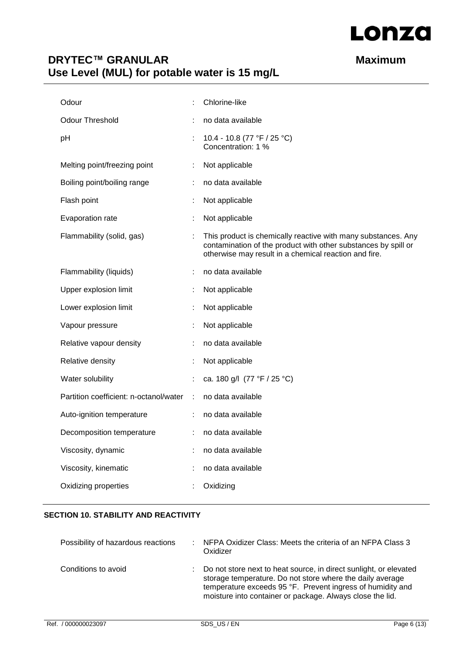

| Odour                                  |    | Chlorine-like                                                                                                                                                                            |
|----------------------------------------|----|------------------------------------------------------------------------------------------------------------------------------------------------------------------------------------------|
| <b>Odour Threshold</b>                 |    | no data available                                                                                                                                                                        |
| pH                                     | ÷. | 10.4 - 10.8 (77 °F / 25 °C)<br>Concentration: 1 %                                                                                                                                        |
| Melting point/freezing point           | ÷  | Not applicable                                                                                                                                                                           |
| Boiling point/boiling range            |    | no data available                                                                                                                                                                        |
| Flash point                            | ÷  | Not applicable                                                                                                                                                                           |
| Evaporation rate                       |    | Not applicable                                                                                                                                                                           |
| Flammability (solid, gas)              |    | This product is chemically reactive with many substances. Any<br>contamination of the product with other substances by spill or<br>otherwise may result in a chemical reaction and fire. |
| Flammability (liquids)                 |    | no data available                                                                                                                                                                        |
| Upper explosion limit                  | ÷  | Not applicable                                                                                                                                                                           |
| Lower explosion limit                  |    | Not applicable                                                                                                                                                                           |
| Vapour pressure                        |    | Not applicable                                                                                                                                                                           |
| Relative vapour density                |    | no data available                                                                                                                                                                        |
| Relative density                       |    | Not applicable                                                                                                                                                                           |
| Water solubility                       | ÷. | ca. 180 g/l (77 °F / 25 °C)                                                                                                                                                              |
| Partition coefficient: n-octanol/water | ÷  | no data available                                                                                                                                                                        |
| Auto-ignition temperature              | ÷  | no data available                                                                                                                                                                        |
| Decomposition temperature              |    | no data available                                                                                                                                                                        |
| Viscosity, dynamic                     |    | no data available                                                                                                                                                                        |
| Viscosity, kinematic                   |    | no data available                                                                                                                                                                        |
| Oxidizing properties                   |    | Oxidizing                                                                                                                                                                                |

### **SECTION 10. STABILITY AND REACTIVITY**

| Possibility of hazardous reactions | : NFPA Oxidizer Class: Meets the criteria of an NFPA Class 3<br>Oxidizer                                                                                                                                                                                    |
|------------------------------------|-------------------------------------------------------------------------------------------------------------------------------------------------------------------------------------------------------------------------------------------------------------|
| Conditions to avoid                | : Do not store next to heat source, in direct sunlight, or elevated<br>storage temperature. Do not store where the daily average<br>temperature exceeds 95 °F. Prevent ingress of humidity and<br>moisture into container or package. Always close the lid. |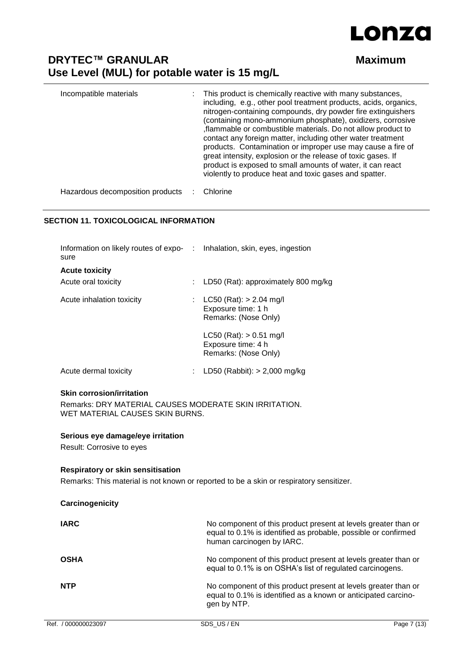

| Incompatible materials           | This product is chemically reactive with many substances,<br>including, e.g., other pool treatment products, acids, organics,<br>nitrogen-containing compounds, dry powder fire extinguishers<br>(containing mono-ammonium phosphate), oxidizers, corrosive<br>, flammable or combustible materials. Do not allow product to<br>contact any foreign matter, including other water treatment<br>products. Contamination or improper use may cause a fire of<br>great intensity, explosion or the release of toxic gases. If<br>product is exposed to small amounts of water, it can react<br>violently to produce heat and toxic gases and spatter. |
|----------------------------------|----------------------------------------------------------------------------------------------------------------------------------------------------------------------------------------------------------------------------------------------------------------------------------------------------------------------------------------------------------------------------------------------------------------------------------------------------------------------------------------------------------------------------------------------------------------------------------------------------------------------------------------------------|
| Hazardous decomposition products | Chlorine                                                                                                                                                                                                                                                                                                                                                                                                                                                                                                                                                                                                                                           |

#### **SECTION 11. TOXICOLOGICAL INFORMATION**

| Information on likely routes of expo- : Inhalation, skin, eyes, ingestion<br>sure |    |                                                                           |
|-----------------------------------------------------------------------------------|----|---------------------------------------------------------------------------|
| <b>Acute toxicity</b>                                                             |    |                                                                           |
| Acute oral toxicity                                                               | ÷. | LD50 (Rat): approximately 800 mg/kg                                       |
| Acute inhalation toxicity                                                         |    | $LC50$ (Rat): $> 2.04$ mg/l<br>Exposure time: 1 h<br>Remarks: (Nose Only) |
|                                                                                   |    | $LC50$ (Rat): $> 0.51$ mg/l<br>Exposure time: 4 h<br>Remarks: (Nose Only) |
| Acute dermal toxicity                                                             |    | LD50 (Rabbit): $> 2,000$ mg/kg                                            |

#### **Skin corrosion/irritation**

Remarks: DRY MATERIAL CAUSES MODERATE SKIN IRRITATION. WET MATERIAL CAUSES SKIN BURNS.

#### **Serious eye damage/eye irritation**

Result: Corrosive to eyes

#### **Respiratory or skin sensitisation**

Remarks: This material is not known or reported to be a skin or respiratory sensitizer.

| Carcinogenicity |                                                                                                                                                               |
|-----------------|---------------------------------------------------------------------------------------------------------------------------------------------------------------|
| <b>IARC</b>     | No component of this product present at levels greater than or<br>equal to 0.1% is identified as probable, possible or confirmed<br>human carcinogen by IARC. |
| <b>OSHA</b>     | No component of this product present at levels greater than or<br>equal to 0.1% is on OSHA's list of regulated carcinogens.                                   |
| <b>NTP</b>      | No component of this product present at levels greater than or<br>equal to 0.1% is identified as a known or anticipated carcino-<br>gen by NTP.               |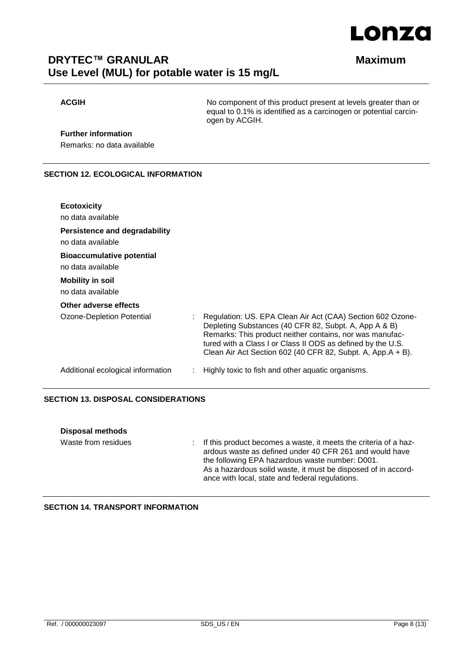

**ACGIH** No component of this product present at levels greater than or equal to 0.1% is identified as a carcinogen or potential carcinogen by ACGIH.

## **Further information**

Remarks: no data available

#### **SECTION 12. ECOLOGICAL INFORMATION**

| <b>Ecotoxicity</b>                                    |                                                                                                                                                                                                                                                                                                               |
|-------------------------------------------------------|---------------------------------------------------------------------------------------------------------------------------------------------------------------------------------------------------------------------------------------------------------------------------------------------------------------|
| no data available                                     |                                                                                                                                                                                                                                                                                                               |
| Persistence and degradability                         |                                                                                                                                                                                                                                                                                                               |
| no data available                                     |                                                                                                                                                                                                                                                                                                               |
| <b>Bioaccumulative potential</b><br>no data available |                                                                                                                                                                                                                                                                                                               |
| <b>Mobility in soil</b>                               |                                                                                                                                                                                                                                                                                                               |
| no data available                                     |                                                                                                                                                                                                                                                                                                               |
| Other adverse effects                                 |                                                                                                                                                                                                                                                                                                               |
| Ozone-Depletion Potential                             | Regulation: US. EPA Clean Air Act (CAA) Section 602 Ozone-<br>Depleting Substances (40 CFR 82, Subpt. A, App A & B)<br>Remarks: This product neither contains, nor was manufac-<br>tured with a Class I or Class II ODS as defined by the U.S.<br>Clean Air Act Section 602 (40 CFR 82, Subpt. A, App.A + B). |
| Additional ecological information                     | Highly toxic to fish and other aquatic organisms.                                                                                                                                                                                                                                                             |

#### **SECTION 13. DISPOSAL CONSIDERATIONS**

| <b>Disposal methods</b> |                                                                                                                                                                                                                                                                                                      |
|-------------------------|------------------------------------------------------------------------------------------------------------------------------------------------------------------------------------------------------------------------------------------------------------------------------------------------------|
| Waste from residues     | : If this product becomes a waste, it meets the criteria of a haz-<br>ardous waste as defined under 40 CFR 261 and would have<br>the following EPA hazardous waste number: D001.<br>As a hazardous solid waste, it must be disposed of in accord-<br>ance with local, state and federal regulations. |

#### **SECTION 14. TRANSPORT INFORMATION**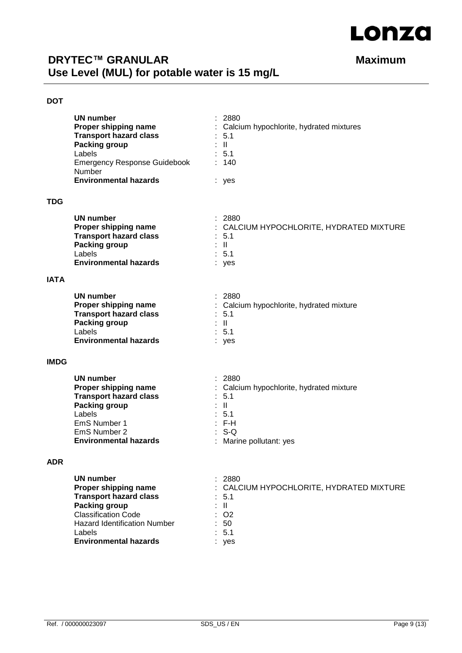

#### **DOT**

|             | <b>UN number</b><br><b>Transport hazard class</b><br><b>Packing group</b><br>Labels<br><b>Emergency Response Guidebook</b><br>Number<br><b>Environmental hazards</b>                                             | 2880<br><b>Proper shipping name</b> : Calcium hypochlorite, hydrated mixtures<br>$\therefore$ 5.1<br>$\therefore$ $\mathbf{II}$<br>: 5.1<br>: 140<br>: yes    |  |
|-------------|------------------------------------------------------------------------------------------------------------------------------------------------------------------------------------------------------------------|---------------------------------------------------------------------------------------------------------------------------------------------------------------|--|
| <b>TDG</b>  |                                                                                                                                                                                                                  |                                                                                                                                                               |  |
|             | <b>UN number</b><br><b>Proper shipping name</b><br><b>Transport hazard class</b><br><b>Packing group</b><br>Labels<br><b>Environmental hazards</b>                                                               | : 2880<br>: CALCIUM HYPOCHLORITE, HYDRATED MIXTURE<br>: 5.1<br>$\pm$ 11<br>$\therefore$ 5.1<br>: yes                                                          |  |
| IATA        |                                                                                                                                                                                                                  |                                                                                                                                                               |  |
|             | <b>UN number</b><br>Proper shipping name<br><b>Transport hazard class</b><br>Packing group<br>Labels<br><b>Environmental hazards</b>                                                                             | : 2880<br>: Calcium hypochlorite, hydrated mixture<br>$\therefore$ 5.1<br>$\pm$ $\pm$<br>$\therefore$ 5.1<br>: yes                                            |  |
| <b>IMDG</b> |                                                                                                                                                                                                                  |                                                                                                                                                               |  |
|             | <b>UN number</b><br>Proper shipping name<br><b>Transport hazard class</b><br><b>Packing group</b><br>Labels<br>EmS Number 1<br>EmS Number 2<br><b>Environmental hazards</b>                                      | : 2880<br>: Calcium hypochlorite, hydrated mixture<br>: 5.1<br>$\mathbb{Z}$ $\blacksquare$<br>: 5.1<br>$\therefore$ F-H<br>$: S-Q$<br>: Marine pollutant: yes |  |
| ADR         |                                                                                                                                                                                                                  |                                                                                                                                                               |  |
|             | <b>UN number</b><br>Proper shipping name<br><b>Transport hazard class</b><br><b>Packing group</b><br><b>Classification Code</b><br><b>Hazard Identification Number</b><br>Labels<br><b>Environmental hazards</b> | 2880<br>CALCIUM HYPOCHLORITE, HYDRATED MIXTURE<br>5.1<br>$\mathbf{II}$<br>O <sub>2</sub><br>50<br>5.1<br>yes                                                  |  |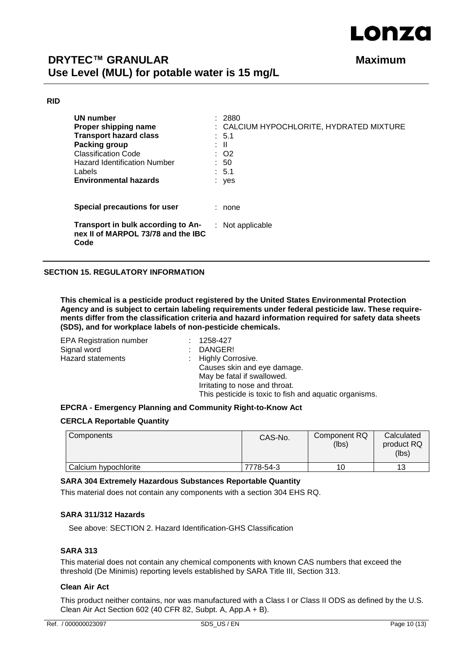

#### **RID**

| UN number<br>Proper shipping name<br><b>Transport hazard class</b><br>Packing group<br><b>Classification Code</b><br>Hazard Identification Number<br>Labels<br><b>Environmental hazards</b> | : 2880<br>: CALCIUM HYPOCHLORITE, HYDRATED MIXTURE<br>$\therefore$ 5.1<br>: II<br>$\therefore$ O2<br>: 50<br>: 5.1<br>: yes |
|---------------------------------------------------------------------------------------------------------------------------------------------------------------------------------------------|-----------------------------------------------------------------------------------------------------------------------------|
| Special precautions for user                                                                                                                                                                | none                                                                                                                        |
| Transport in bulk according to An-<br>nex II of MARPOL 73/78 and the IBC<br>Code                                                                                                            | $:$ Not applicable                                                                                                          |

#### **SECTION 15. REGULATORY INFORMATION**

**This chemical is a pesticide product registered by the United States Environmental Protection Agency and is subject to certain labeling requirements under federal pesticide law. These requirements differ from the classification criteria and hazard information required for safety data sheets (SDS), and for workplace labels of non-pesticide chemicals.**

| 1258-427                                               |
|--------------------------------------------------------|
| DANGER!                                                |
| : Highly Corrosive.                                    |
| Causes skin and eye damage.                            |
| May be fatal if swallowed.                             |
| Irritating to nose and throat.                         |
| This pesticide is toxic to fish and aquatic organisms. |
|                                                        |

#### **EPCRA - Emergency Planning and Community Right-to-Know Act**

#### **CERCLA Reportable Quantity**

| Components           | CAS-No.   | Component RQ<br>(lbs) | Calculated<br>product RQ<br>(lbs) |
|----------------------|-----------|-----------------------|-----------------------------------|
| Calcium hypochlorite | 7778-54-3 |                       | 13                                |

#### **SARA 304 Extremely Hazardous Substances Reportable Quantity**

This material does not contain any components with a section 304 EHS RQ.

#### **SARA 311/312 Hazards**

See above: SECTION 2. Hazard Identification-GHS Classification

#### **SARA 313**

This material does not contain any chemical components with known CAS numbers that exceed the threshold (De Minimis) reporting levels established by SARA Title III, Section 313.

#### **Clean Air Act**

This product neither contains, nor was manufactured with a Class I or Class II ODS as defined by the U.S. Clean Air Act Section 602 (40 CFR 82, Subpt. A, App.A + B).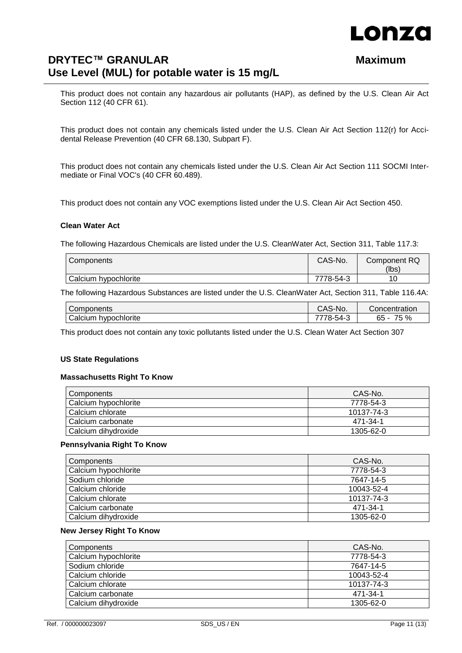

This product does not contain any hazardous air pollutants (HAP), as defined by the U.S. Clean Air Act Section 112 (40 CFR 61).

This product does not contain any chemicals listed under the U.S. Clean Air Act Section 112(r) for Accidental Release Prevention (40 CFR 68.130, Subpart F).

This product does not contain any chemicals listed under the U.S. Clean Air Act Section 111 SOCMI Intermediate or Final VOC's (40 CFR 60.489).

This product does not contain any VOC exemptions listed under the U.S. Clean Air Act Section 450.

#### **Clean Water Act**

The following Hazardous Chemicals are listed under the U.S. CleanWater Act, Section 311, Table 117.3:

| Components           | CAS-No.   | Component RQ<br>(lbs) |
|----------------------|-----------|-----------------------|
| Calcium hypochlorite | 7778-54-3 |                       |

The following Hazardous Substances are listed under the U.S. CleanWater Act, Section 311, Table 116.4A:

| Components              | $\cap \Lambda$<br>CAS-No. | Concentration                 |
|-------------------------|---------------------------|-------------------------------|
| hypochlorite<br>Calcium | 78-.<br>54-               | 75 %<br>$\sim$ $\sim$<br>- 60 |

This product does not contain any toxic pollutants listed under the U.S. Clean Water Act Section 307

#### **US State Regulations**

#### **Massachusetts Right To Know**

| Components            | CAS-No.         |
|-----------------------|-----------------|
| Calcium hypochlorite  | 7778-54-3       |
| Calcium chlorate      | 10137-74-3      |
| Calcium carbonate     | 471-34-1        |
| l Calcium dihvdroxide | $1305 - 62 - 0$ |

#### **Pennsylvania Right To Know**

| Components           | CAS-No.    |
|----------------------|------------|
| Calcium hypochlorite | 7778-54-3  |
| Sodium chloride      | 7647-14-5  |
| Calcium chloride     | 10043-52-4 |
| Calcium chlorate     | 10137-74-3 |
| Calcium carbonate    | 471-34-1   |
| Calcium dihydroxide  | 1305-62-0  |

#### **New Jersey Right To Know**

| Components           | CAS-No.    |
|----------------------|------------|
| Calcium hypochlorite | 7778-54-3  |
| Sodium chloride      | 7647-14-5  |
| Calcium chloride     | 10043-52-4 |
| Calcium chlorate     | 10137-74-3 |
| Calcium carbonate    | 471-34-1   |
| Calcium dihydroxide  | 1305-62-0  |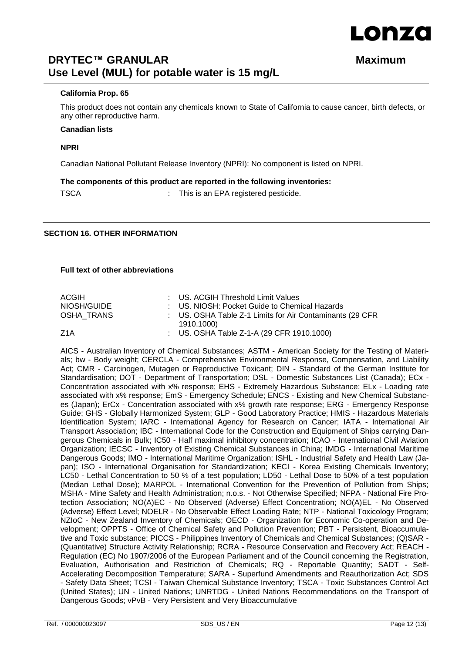# LONZA

# **DRYTEC™ GRANULAR Maximum Use Level (MUL) for potable water is 15 mg/L**

#### **California Prop. 65**

This product does not contain any chemicals known to State of California to cause cancer, birth defects, or any other reproductive harm.

#### **Canadian lists**

#### **NPRI**

Canadian National Pollutant Release Inventory (NPRI): No component is listed on NPRI.

#### **The components of this product are reported in the following inventories:**

TSCA : This is an EPA registered pesticide.

#### **SECTION 16. OTHER INFORMATION**

#### **Full text of other abbreviations**

| ACGIH       | : US. ACGIH Threshold Limit Values                        |
|-------------|-----------------------------------------------------------|
| NIOSH/GUIDE | : US. NIOSH: Pocket Guide to Chemical Hazards             |
| OSHA TRANS  | : US. OSHA Table Z-1 Limits for Air Contaminants (29 CFR) |
|             | 1910.1000)                                                |
| Z1A         | : US. OSHA Table Z-1-A (29 CFR 1910.1000)                 |

AICS - Australian Inventory of Chemical Substances; ASTM - American Society for the Testing of Materials; bw - Body weight; CERCLA - Comprehensive Environmental Response, Compensation, and Liability Act; CMR - Carcinogen, Mutagen or Reproductive Toxicant; DIN - Standard of the German Institute for Standardisation; DOT - Department of Transportation; DSL - Domestic Substances List (Canada); ECx - Concentration associated with x% response; EHS - Extremely Hazardous Substance; ELx - Loading rate associated with x% response; EmS - Emergency Schedule; ENCS - Existing and New Chemical Substances (Japan); ErCx - Concentration associated with x% growth rate response; ERG - Emergency Response Guide; GHS - Globally Harmonized System; GLP - Good Laboratory Practice; HMIS - Hazardous Materials Identification System; IARC - International Agency for Research on Cancer; IATA - International Air Transport Association; IBC - International Code for the Construction and Equipment of Ships carrying Dangerous Chemicals in Bulk; IC50 - Half maximal inhibitory concentration; ICAO - International Civil Aviation Organization; IECSC - Inventory of Existing Chemical Substances in China; IMDG - International Maritime Dangerous Goods; IMO - International Maritime Organization; ISHL - Industrial Safety and Health Law (Japan); ISO - International Organisation for Standardization; KECI - Korea Existing Chemicals Inventory; LC50 - Lethal Concentration to 50 % of a test population; LD50 - Lethal Dose to 50% of a test population (Median Lethal Dose); MARPOL - International Convention for the Prevention of Pollution from Ships; MSHA - Mine Safety and Health Administration; n.o.s. - Not Otherwise Specified; NFPA - National Fire Protection Association; NO(A)EC - No Observed (Adverse) Effect Concentration; NO(A)EL - No Observed (Adverse) Effect Level; NOELR - No Observable Effect Loading Rate; NTP - National Toxicology Program; NZIoC - New Zealand Inventory of Chemicals; OECD - Organization for Economic Co-operation and Development; OPPTS - Office of Chemical Safety and Pollution Prevention; PBT - Persistent, Bioaccumulative and Toxic substance; PICCS - Philippines Inventory of Chemicals and Chemical Substances; (Q)SAR - (Quantitative) Structure Activity Relationship; RCRA - Resource Conservation and Recovery Act; REACH - Regulation (EC) No 1907/2006 of the European Parliament and of the Council concerning the Registration, Evaluation, Authorisation and Restriction of Chemicals; RQ - Reportable Quantity; SADT - Self-Accelerating Decomposition Temperature; SARA - Superfund Amendments and Reauthorization Act; SDS - Safety Data Sheet; TCSI - Taiwan Chemical Substance Inventory; TSCA - Toxic Substances Control Act (United States); UN - United Nations; UNRTDG - United Nations Recommendations on the Transport of Dangerous Goods; vPvB - Very Persistent and Very Bioaccumulative